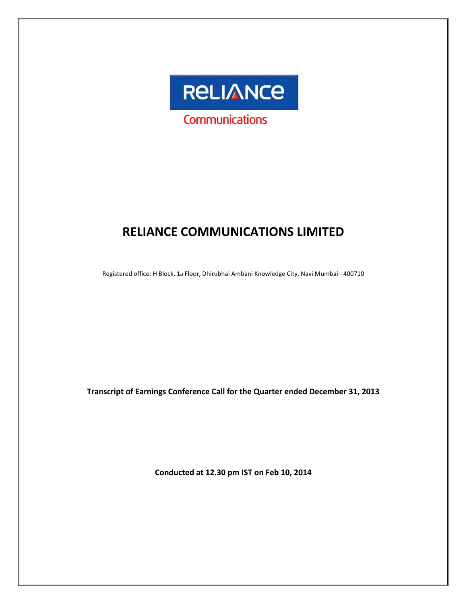

# **RELIANCE COMMUNICATIONS LIMITED**

Registered office: H Block, 1st Floor, Dhirubhai Ambani Knowledge City, Navi Mumbai ‐ 400710

**Transcript of Earnings Conference Call for the Quarter ended December 31, 2013**

**Conducted at 12.30 pm IST on Feb 10, 2014**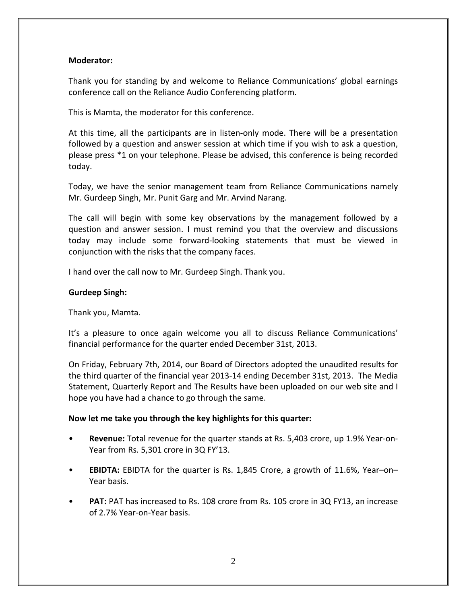# **Moderator:**

Thank you for standing by and welcome to Reliance Communications' global earnings conference call on the Reliance Audio Conferencing platform.

This is Mamta, the moderator for this conference.

At this time, all the participants are in listen-only mode. There will be a presentation followed by a question and answer session at which time if you wish to ask a question, please press \*1 on your telephone. Please be advised, this conference is being recorded today.

Today, we have the senior management team from Reliance Communications namely Mr. Gurdeep Singh, Mr. Punit Garg and Mr. Arvind Narang.

The call will begin with some key observations by the management followed by a question and answer session. I must remind you that the overview and discussions today may include some forward‐looking statements that must be viewed in conjunction with the risks that the company faces.

I hand over the call now to Mr. Gurdeep Singh. Thank you.

# **Gurdeep Singh:**

Thank you, Mamta.

It's a pleasure to once again welcome you all to discuss Reliance Communications' financial performance for the quarter ended December 31st, 2013.

On Friday, February 7th, 2014, our Board of Directors adopted the unaudited results for the third quarter of the financial year 2013‐14 ending December 31st, 2013. The Media Statement, Quarterly Report and The Results have been uploaded on our web site and I hope you have had a chance to go through the same.

# **Now let me take you through the key highlights for this quarter:**

- **Revenue:** Total revenue for the quarter stands at Rs. 5,403 crore, up 1.9% Year‐on‐ Year from Rs. 5,301 crore in 3Q FY'13.
- **EBIDTA:** EBIDTA for the quarter is Rs. 1,845 Crore, a growth of 11.6%, Year–on– Year basis.
- **PAT:** PAT has increased to Rs. 108 crore from Rs. 105 crore in 3Q FY13, an increase of 2.7% Year‐on‐Year basis.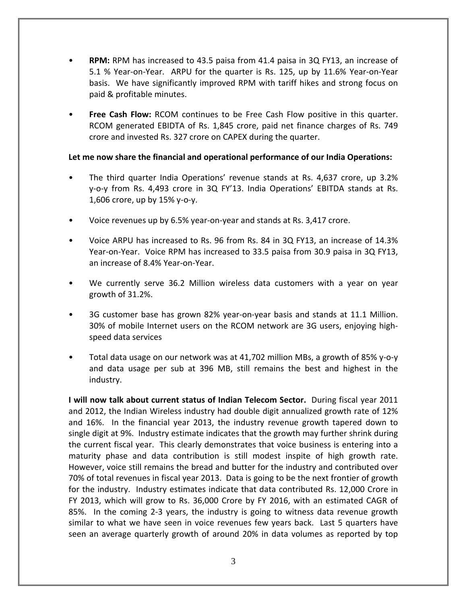- **RPM:** RPM has increased to 43.5 paisa from 41.4 paisa in 3Q FY13, an increase of 5.1 % Year‐on‐Year. ARPU for the quarter is Rs. 125, up by 11.6% Year‐on‐Year basis. We have significantly improved RPM with tariff hikes and strong focus on paid & profitable minutes.
- **Free Cash Flow:** RCOM continues to be Free Cash Flow positive in this quarter. RCOM generated EBIDTA of Rs. 1,845 crore, paid net finance charges of Rs. 749 crore and invested Rs. 327 crore on CAPEX during the quarter.

# **Let me now share the financial and operational performance of our India Operations:**

- The third quarter India Operations' revenue stands at Rs. 4,637 crore, up 3.2% y‐o‐y from Rs. 4,493 crore in 3Q FY'13. India Operations' EBITDA stands at Rs. 1,606 crore, up by 15% y‐o‐y.
- Voice revenues up by 6.5% year‐on‐year and stands at Rs. 3,417 crore.
- Voice ARPU has increased to Rs. 96 from Rs. 84 in 3Q FY13, an increase of 14.3% Year-on-Year. Voice RPM has increased to 33.5 paisa from 30.9 paisa in 3Q FY13, an increase of 8.4% Year‐on‐Year.
- We currently serve 36.2 Million wireless data customers with a year on year growth of 31.2%.
- 3G customer base has grown 82% year-on-year basis and stands at 11.1 Million. 30% of mobile Internet users on the RCOM network are 3G users, enjoying high‐ speed data services
- Total data usage on our network was at 41,702 million MBs, a growth of 85% y‐o‐y and data usage per sub at 396 MB, still remains the best and highest in the industry.

**I will now talk about current status of Indian Telecom Sector.** During fiscal year 2011 and 2012, the Indian Wireless industry had double digit annualized growth rate of 12% and 16%. In the financial year 2013, the industry revenue growth tapered down to single digit at 9%. Industry estimate indicates that the growth may further shrink during the current fiscal year. This clearly demonstrates that voice business is entering into a maturity phase and data contribution is still modest inspite of high growth rate. However, voice still remains the bread and butter for the industry and contributed over 70% of total revenues in fiscal year 2013. Data is going to be the next frontier of growth for the industry. Industry estimates indicate that data contributed Rs. 12,000 Crore in FY 2013, which will grow to Rs. 36,000 Crore by FY 2016, with an estimated CAGR of 85%. In the coming 2-3 years, the industry is going to witness data revenue growth similar to what we have seen in voice revenues few years back. Last 5 quarters have seen an average quarterly growth of around 20% in data volumes as reported by top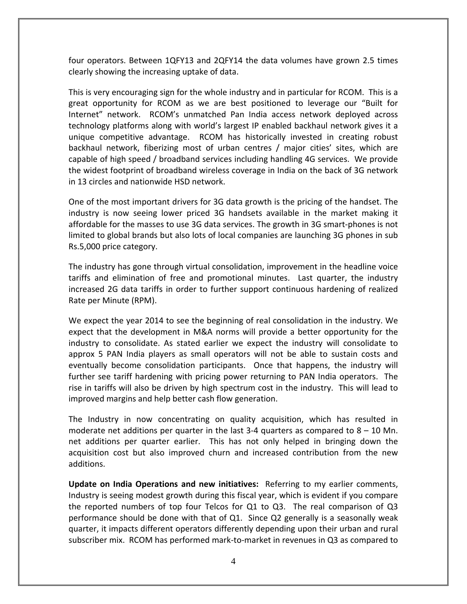four operators. Between 1QFY13 and 2QFY14 the data volumes have grown 2.5 times clearly showing the increasing uptake of data.

This is very encouraging sign for the whole industry and in particular for RCOM. This is a great opportunity for RCOM as we are best positioned to leverage our "Built for Internet" network. RCOM's unmatched Pan India access network deployed across technology platforms along with world's largest IP enabled backhaul network gives it a unique competitive advantage. RCOM has historically invested in creating robust backhaul network, fiberizing most of urban centres / major cities' sites, which are capable of high speed / broadband services including handling 4G services. We provide the widest footprint of broadband wireless coverage in India on the back of 3G network in 13 circles and nationwide HSD network.

One of the most important drivers for 3G data growth is the pricing of the handset. The industry is now seeing lower priced 3G handsets available in the market making it affordable for the masses to use 3G data services. The growth in 3G smart‐phones is not limited to global brands but also lots of local companies are launching 3G phones in sub Rs.5,000 price category.

The industry has gone through virtual consolidation, improvement in the headline voice tariffs and elimination of free and promotional minutes. Last quarter, the industry increased 2G data tariffs in order to further support continuous hardening of realized Rate per Minute (RPM).

We expect the year 2014 to see the beginning of real consolidation in the industry. We expect that the development in M&A norms will provide a better opportunity for the industry to consolidate. As stated earlier we expect the industry will consolidate to approx 5 PAN India players as small operators will not be able to sustain costs and eventually become consolidation participants. Once that happens, the industry will further see tariff hardening with pricing power returning to PAN India operators. The rise in tariffs will also be driven by high spectrum cost in the industry. This will lead to improved margins and help better cash flow generation.

The Industry in now concentrating on quality acquisition, which has resulted in moderate net additions per quarter in the last 3-4 quarters as compared to  $8 - 10$  Mn. net additions per quarter earlier. This has not only helped in bringing down the acquisition cost but also improved churn and increased contribution from the new additions.

**Update on India Operations and new initiatives:** Referring to my earlier comments, Industry is seeing modest growth during this fiscal year, which is evident if you compare the reported numbers of top four Telcos for  $Q1$  to  $Q3$ . The real comparison of  $Q3$ performance should be done with that of Q1. Since Q2 generally is a seasonally weak quarter, it impacts different operators differently depending upon their urban and rural subscriber mix. RCOM has performed mark-to-market in revenues in Q3 as compared to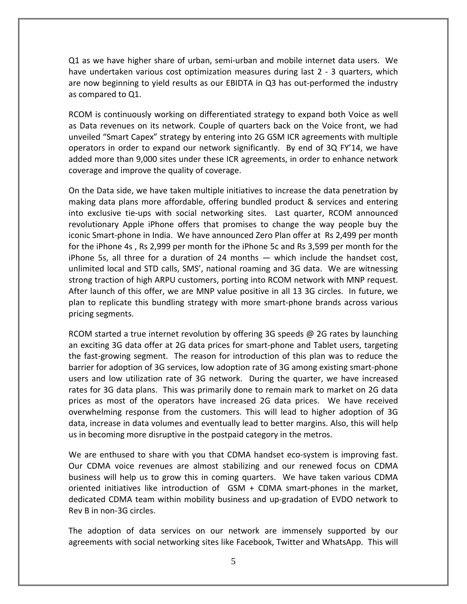Q1 as we have higher share of urban, semi‐urban and mobile internet data users. We have undertaken various cost optimization measures during last 2 ‐ 3 quarters, which are now beginning to yield results as our EBIDTA in Q3 has out-performed the industry as compared to Q1.

RCOM is continuously working on differentiated strategy to expand both Voice as well as Data revenues on its network. Couple of quarters back on the Voice front, we had unveiled "Smart Capex" strategy by entering into 2G GSM ICR agreements with multiple operators in order to expand our network significantly. By end of 3Q FY'14, we have added more than 9,000 sites under these ICR agreements, in order to enhance network coverage and improve the quality of coverage.

On the Data side, we have taken multiple initiatives to increase the data penetration by making data plans more affordable, offering bundled product & services and entering into exclusive tie‐ups with social networking sites. Last quarter, RCOM announced revolutionary Apple iPhone offers that promises to change the way people buy the iconic Smart‐phone in India. We have announced Zero Plan offer at Rs 2,499 per month for the iPhone 4s , Rs 2,999 per month for the iPhone 5c and Rs 3,599 per month for the iPhone 5s, all three for a duration of 24 months — which include the handset cost, unlimited local and STD calls, SMS', national roaming and 3G data. We are witnessing strong traction of high ARPU customers, porting into RCOM network with MNP request. After launch of this offer, we are MNP value positive in all 13 3G circles. In future, we plan to replicate this bundling strategy with more smart‐phone brands across various pricing segments.

RCOM started a true internet revolution by offering 3G speeds  $\omega$  2G rates by launching an exciting 3G data offer at 2G data prices for smart‐phone and Tablet users, targeting the fast‐growing segment. The reason for introduction of this plan was to reduce the barrier for adoption of 3G services, low adoption rate of 3G among existing smart‐phone users and low utilization rate of 3G network. During the quarter, we have increased rates for 3G data plans. This was primarily done to remain mark to market on 2G data prices as most of the operators have increased 2G data prices. We have received overwhelming response from the customers. This will lead to higher adoption of 3G data, increase in data volumes and eventually lead to better margins. Also, this will help us in becoming more disruptive in the postpaid category in the metros.

We are enthused to share with you that CDMA handset eco-system is improving fast. Our CDMA voice revenues are almost stabilizing and our renewed focus on CDMA business will help us to grow this in coming quarters. We have taken various CDMA oriented initiatives like introduction of GSM + CDMA smart‐phones in the market, dedicated CDMA team within mobility business and up‐gradation of EVDO network to Rev B in non‐3G circles.

The adoption of data services on our network are immensely supported by our agreements with social networking sites like Facebook, Twitter and WhatsApp. This will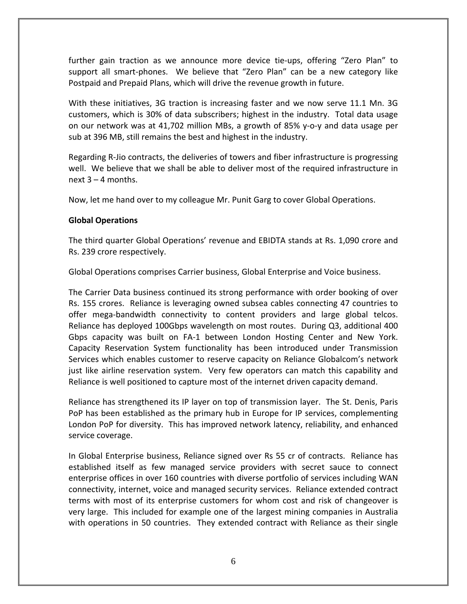further gain traction as we announce more device tie‐ups, offering "Zero Plan" to support all smart‐phones. We believe that "Zero Plan" can be a new category like Postpaid and Prepaid Plans, which will drive the revenue growth in future.

With these initiatives, 3G traction is increasing faster and we now serve 11.1 Mn. 3G customers, which is 30% of data subscribers; highest in the industry. Total data usage on our network was at 41,702 million MBs, a growth of 85% y‐o‐y and data usage per sub at 396 MB, still remains the best and highest in the industry.

Regarding R‐Jio contracts, the deliveries of towers and fiber infrastructure is progressing well. We believe that we shall be able to deliver most of the required infrastructure in next 3 – 4 months.

Now, let me hand over to my colleague Mr. Punit Garg to cover Global Operations.

# **Global Operations**

The third quarter Global Operations' revenue and EBIDTA stands at Rs. 1,090 crore and Rs. 239 crore respectively.

Global Operations comprises Carrier business, Global Enterprise and Voice business.

The Carrier Data business continued its strong performance with order booking of over Rs. 155 crores. Reliance is leveraging owned subsea cables connecting 47 countries to offer mega‐bandwidth connectivity to content providers and large global telcos. Reliance has deployed 100Gbps wavelength on most routes. During Q3, additional 400 Gbps capacity was built on FA‐1 between London Hosting Center and New York. Capacity Reservation System functionality has been introduced under Transmission Services which enables customer to reserve capacity on Reliance Globalcom's network just like airline reservation system. Very few operators can match this capability and Reliance is well positioned to capture most of the internet driven capacity demand.

Reliance has strengthened its IP layer on top of transmission layer. The St. Denis, Paris PoP has been established as the primary hub in Europe for IP services, complementing London PoP for diversity. This has improved network latency, reliability, and enhanced service coverage.

In Global Enterprise business, Reliance signed over Rs 55 cr of contracts. Reliance has established itself as few managed service providers with secret sauce to connect enterprise offices in over 160 countries with diverse portfolio of services including WAN connectivity, internet, voice and managed security services. Reliance extended contract terms with most of its enterprise customers for whom cost and risk of changeover is very large. This included for example one of the largest mining companies in Australia with operations in 50 countries. They extended contract with Reliance as their single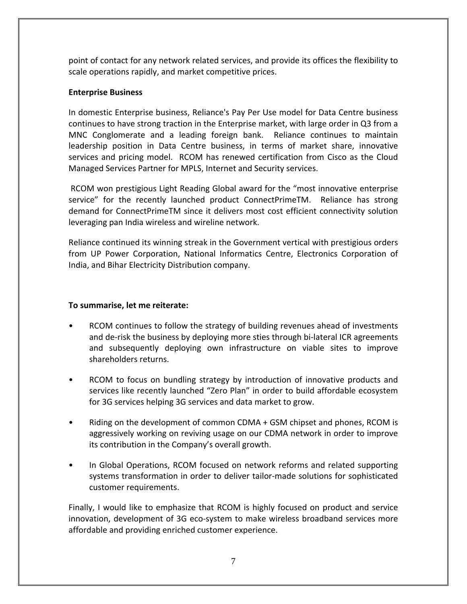point of contact for any network related services, and provide its offices the flexibility to scale operations rapidly, and market competitive prices.

# **Enterprise Business**

In domestic Enterprise business, Reliance's Pay Per Use model for Data Centre business continues to have strong traction in the Enterprise market, with large order in Q3 from a MNC Conglomerate and a leading foreign bank. Reliance continues to maintain leadership position in Data Centre business, in terms of market share, innovative services and pricing model. RCOM has renewed certification from Cisco as the Cloud Managed Services Partner for MPLS, Internet and Security services.

RCOM won prestigious Light Reading Global award for the "most innovative enterprise service" for the recently launched product ConnectPrimeTM. Reliance has strong demand for ConnectPrimeTM since it delivers most cost efficient connectivity solution leveraging pan India wireless and wireline network.

Reliance continued its winning streak in the Government vertical with prestigious orders from UP Power Corporation, National Informatics Centre, Electronics Corporation of India, and Bihar Electricity Distribution company.

# **To summarise, let me reiterate:**

- RCOM continues to follow the strategy of building revenues ahead of investments and de-risk the business by deploying more sties through bi-lateral ICR agreements and subsequently deploying own infrastructure on viable sites to improve shareholders returns.
- RCOM to focus on bundling strategy by introduction of innovative products and services like recently launched "Zero Plan" in order to build affordable ecosystem for 3G services helping 3G services and data market to grow.
- Riding on the development of common CDMA + GSM chipset and phones, RCOM is aggressively working on reviving usage on our CDMA network in order to improve its contribution in the Company's overall growth.
- In Global Operations, RCOM focused on network reforms and related supporting systems transformation in order to deliver tailor-made solutions for sophisticated customer requirements.

Finally, I would like to emphasize that RCOM is highly focused on product and service innovation, development of 3G eco-system to make wireless broadband services more affordable and providing enriched customer experience.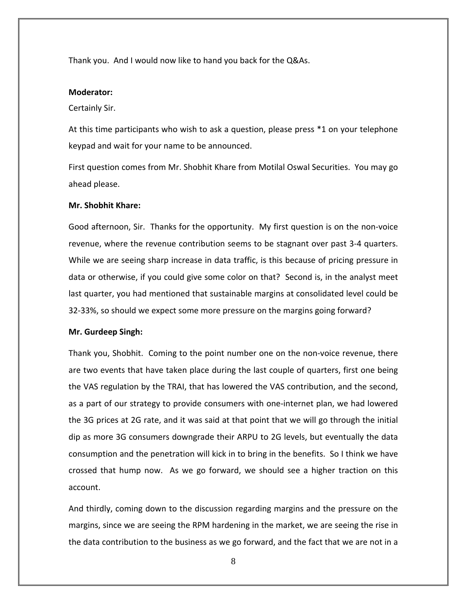Thank you. And I would now like to hand you back for the Q&As.

### **Moderator:**

#### Certainly Sir.

At this time participants who wish to ask a question, please press \*1 on your telephone keypad and wait for your name to be announced.

First question comes from Mr. Shobhit Khare from Motilal Oswal Securities. You may go ahead please.

# **Mr. Shobhit Khare:**

Good afternoon, Sir. Thanks for the opportunity. My first question is on the non‐voice revenue, where the revenue contribution seems to be stagnant over past 3‐4 quarters. While we are seeing sharp increase in data traffic, is this because of pricing pressure in data or otherwise, if you could give some color on that? Second is, in the analyst meet last quarter, you had mentioned that sustainable margins at consolidated level could be 32‐33%, so should we expect some more pressure on the margins going forward?

### **Mr. Gurdeep Singh:**

Thank you, Shobhit. Coming to the point number one on the non‐voice revenue, there are two events that have taken place during the last couple of quarters, first one being the VAS regulation by the TRAI, that has lowered the VAS contribution, and the second, as a part of our strategy to provide consumers with one‐internet plan, we had lowered the 3G prices at 2G rate, and it was said at that point that we will go through the initial dip as more 3G consumers downgrade their ARPU to 2G levels, but eventually the data consumption and the penetration will kick in to bring in the benefits. So I think we have crossed that hump now. As we go forward, we should see a higher traction on this account.

And thirdly, coming down to the discussion regarding margins and the pressure on the margins, since we are seeing the RPM hardening in the market, we are seeing the rise in the data contribution to the business as we go forward, and the fact that we are not in a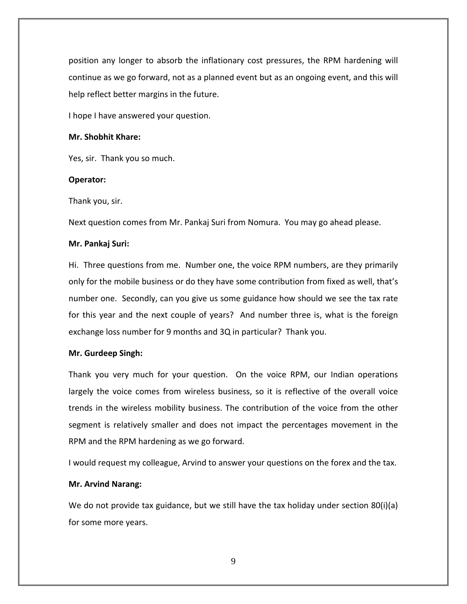position any longer to absorb the inflationary cost pressures, the RPM hardening will continue as we go forward, not as a planned event but as an ongoing event, and this will help reflect better margins in the future.

I hope I have answered your question.

# **Mr. Shobhit Khare:**

Yes, sir. Thank you so much.

# **Operator:**

Thank you, sir.

Next question comes from Mr. Pankaj Suri from Nomura. You may go ahead please.

# **Mr. Pankaj Suri:**

Hi. Three questions from me. Number one, the voice RPM numbers, are they primarily only for the mobile business or do they have some contribution from fixed as well, that's number one. Secondly, can you give us some guidance how should we see the tax rate for this year and the next couple of years? And number three is, what is the foreign exchange loss number for 9 months and 3Q in particular? Thank you.

# **Mr. Gurdeep Singh:**

Thank you very much for your question. On the voice RPM, our Indian operations largely the voice comes from wireless business, so it is reflective of the overall voice trends in the wireless mobility business. The contribution of the voice from the other segment is relatively smaller and does not impact the percentages movement in the RPM and the RPM hardening as we go forward.

I would request my colleague, Arvind to answer your questions on the forex and the tax.

# **Mr. Arvind Narang:**

We do not provide tax guidance, but we still have the tax holiday under section 80(i)(a) for some more years.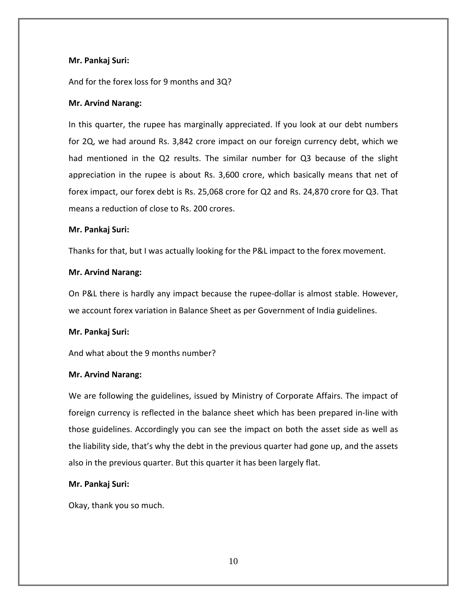# **Mr. Pankaj Suri:**

And for the forex loss for 9 months and 3Q?

# **Mr. Arvind Narang:**

In this quarter, the rupee has marginally appreciated. If you look at our debt numbers for 2Q, we had around Rs. 3,842 crore impact on our foreign currency debt, which we had mentioned in the Q2 results. The similar number for Q3 because of the slight appreciation in the rupee is about Rs. 3,600 crore, which basically means that net of forex impact, our forex debt is Rs. 25,068 crore for Q2 and Rs. 24,870 crore for Q3. That means a reduction of close to Rs. 200 crores.

# **Mr. Pankaj Suri:**

Thanks for that, but I was actually looking for the P&L impact to the forex movement.

# **Mr. Arvind Narang:**

On P&L there is hardly any impact because the rupee‐dollar is almost stable. However, we account forex variation in Balance Sheet as per Government of India guidelines.

# **Mr. Pankaj Suri:**

And what about the 9 months number?

# **Mr. Arvind Narang:**

We are following the guidelines, issued by Ministry of Corporate Affairs. The impact of foreign currency is reflected in the balance sheet which has been prepared in‐line with those guidelines. Accordingly you can see the impact on both the asset side as well as the liability side, that's why the debt in the previous quarter had gone up, and the assets also in the previous quarter. But this quarter it has been largely flat.

# **Mr. Pankaj Suri:**

Okay, thank you so much.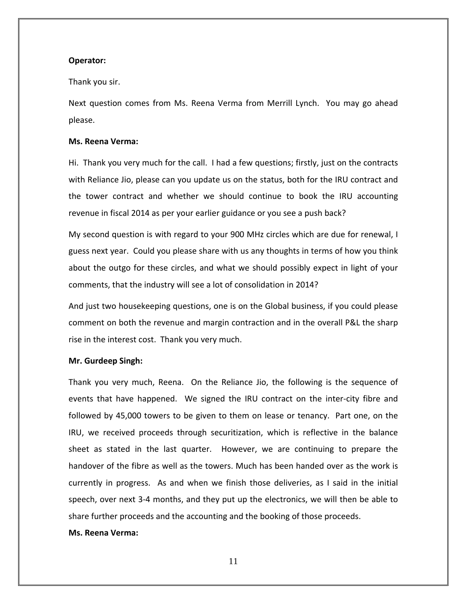#### **Operator:**

#### Thank you sir.

Next question comes from Ms. Reena Verma from Merrill Lynch. You may go ahead please.

#### **Ms. Reena Verma:**

Hi. Thank you very much for the call. I had a few questions; firstly, just on the contracts with Reliance Jio, please can you update us on the status, both for the IRU contract and the tower contract and whether we should continue to book the IRU accounting revenue in fiscal 2014 as per your earlier guidance or you see a push back?

My second question is with regard to your 900 MHz circles which are due for renewal, I guess next year. Could you please share with us any thoughts in terms of how you think about the outgo for these circles, and what we should possibly expect in light of your comments, that the industry will see a lot of consolidation in 2014?

And just two housekeeping questions, one is on the Global business, if you could please comment on both the revenue and margin contraction and in the overall P&L the sharp rise in the interest cost. Thank you very much.

#### **Mr. Gurdeep Singh:**

Thank you very much, Reena. On the Reliance Jio, the following is the sequence of events that have happened. We signed the IRU contract on the inter-city fibre and followed by 45,000 towers to be given to them on lease or tenancy. Part one, on the IRU, we received proceeds through securitization, which is reflective in the balance sheet as stated in the last quarter. However, we are continuing to prepare the handover of the fibre as well as the towers. Much has been handed over as the work is currently in progress. As and when we finish those deliveries, as I said in the initial speech, over next 3-4 months, and they put up the electronics, we will then be able to share further proceeds and the accounting and the booking of those proceeds.

### **Ms. Reena Verma:**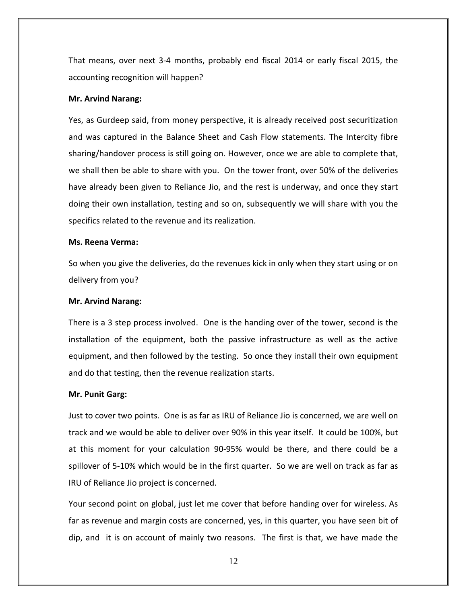That means, over next 3‐4 months, probably end fiscal 2014 or early fiscal 2015, the accounting recognition will happen?

#### **Mr. Arvind Narang:**

Yes, as Gurdeep said, from money perspective, it is already received post securitization and was captured in the Balance Sheet and Cash Flow statements. The Intercity fibre sharing/handover process is still going on. However, once we are able to complete that, we shall then be able to share with you. On the tower front, over 50% of the deliveries have already been given to Reliance Jio, and the rest is underway, and once they start doing their own installation, testing and so on, subsequently we will share with you the specifics related to the revenue and its realization.

#### **Ms. Reena Verma:**

So when you give the deliveries, do the revenues kick in only when they start using or on delivery from you?

#### **Mr. Arvind Narang:**

There is a 3 step process involved. One is the handing over of the tower, second is the installation of the equipment, both the passive infrastructure as well as the active equipment, and then followed by the testing. So once they install their own equipment and do that testing, then the revenue realization starts.

#### **Mr. Punit Garg:**

Just to cover two points. One is as far as IRU of Reliance Jio is concerned, we are well on track and we would be able to deliver over 90% in this year itself. It could be 100%, but at this moment for your calculation 90‐95% would be there, and there could be a spillover of 5-10% which would be in the first quarter. So we are well on track as far as IRU of Reliance Jio project is concerned.

Your second point on global, just let me cover that before handing over for wireless. As far as revenue and margin costs are concerned, yes, in this quarter, you have seen bit of dip, and it is on account of mainly two reasons. The first is that, we have made the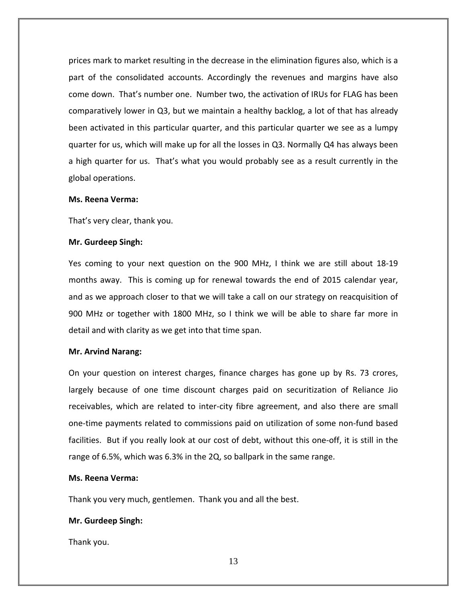prices mark to market resulting in the decrease in the elimination figures also, which is a part of the consolidated accounts. Accordingly the revenues and margins have also come down. That's number one. Number two, the activation of IRUs for FLAG has been comparatively lower in Q3, but we maintain a healthy backlog, a lot of that has already been activated in this particular quarter, and this particular quarter we see as a lumpy quarter for us, which will make up for all the losses in Q3. Normally Q4 has always been a high quarter for us. That's what you would probably see as a result currently in the global operations.

#### **Ms. Reena Verma:**

That's very clear, thank you.

#### **Mr. Gurdeep Singh:**

Yes coming to your next question on the 900 MHz, I think we are still about 18‐19 months away. This is coming up for renewal towards the end of 2015 calendar year, and as we approach closer to that we will take a call on our strategy on reacquisition of 900 MHz or together with 1800 MHz, so I think we will be able to share far more in detail and with clarity as we get into that time span.

#### **Mr. Arvind Narang:**

On your question on interest charges, finance charges has gone up by Rs. 73 crores, largely because of one time discount charges paid on securitization of Reliance Jio receivables, which are related to inter‐city fibre agreement, and also there are small one‐time payments related to commissions paid on utilization of some non‐fund based facilities. But if you really look at our cost of debt, without this one-off, it is still in the range of 6.5%, which was 6.3% in the 2Q, so ballpark in the same range.

# **Ms. Reena Verma:**

Thank you very much, gentlemen. Thank you and all the best.

# **Mr. Gurdeep Singh:**

Thank you.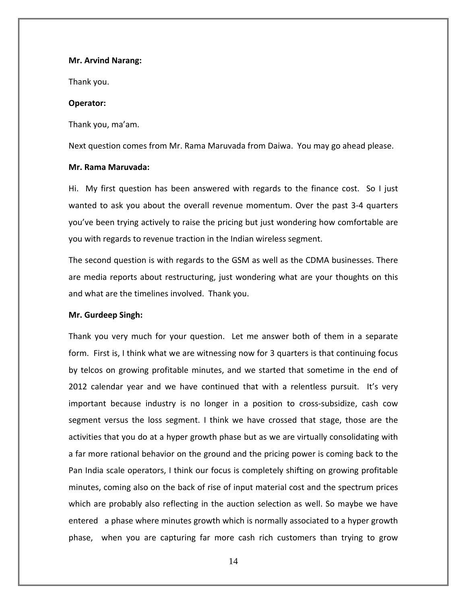#### **Mr. Arvind Narang:**

Thank you.

#### **Operator:**

Thank you, ma'am.

Next question comes from Mr. Rama Maruvada from Daiwa. You may go ahead please.

### **Mr. Rama Maruvada:**

Hi. My first question has been answered with regards to the finance cost. So I just wanted to ask you about the overall revenue momentum. Over the past 3‐4 quarters you've been trying actively to raise the pricing but just wondering how comfortable are you with regards to revenue traction in the Indian wireless segment.

The second question is with regards to the GSM as well as the CDMA businesses. There are media reports about restructuring, just wondering what are your thoughts on this and what are the timelines involved. Thank you.

### **Mr. Gurdeep Singh:**

Thank you very much for your question. Let me answer both of them in a separate form. First is, I think what we are witnessing now for 3 quarters is that continuing focus by telcos on growing profitable minutes, and we started that sometime in the end of 2012 calendar year and we have continued that with a relentless pursuit. It's very important because industry is no longer in a position to cross‐subsidize, cash cow segment versus the loss segment. I think we have crossed that stage, those are the activities that you do at a hyper growth phase but as we are virtually consolidating with a far more rational behavior on the ground and the pricing power is coming back to the Pan India scale operators, I think our focus is completely shifting on growing profitable minutes, coming also on the back of rise of input material cost and the spectrum prices which are probably also reflecting in the auction selection as well. So maybe we have entered a phase where minutes growth which is normally associated to a hyper growth phase, when you are capturing far more cash rich customers than trying to grow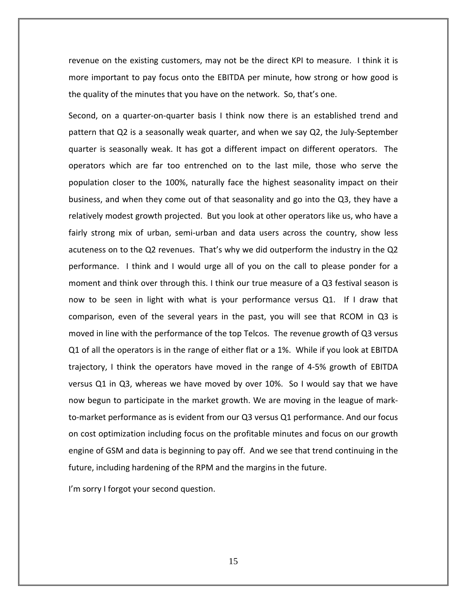revenue on the existing customers, may not be the direct KPI to measure. I think it is more important to pay focus onto the EBITDA per minute, how strong or how good is the quality of the minutes that you have on the network. So, that's one.

Second, on a quarter-on-quarter basis I think now there is an established trend and pattern that Q2 is a seasonally weak quarter, and when we say Q2, the July‐September quarter is seasonally weak. It has got a different impact on different operators. The operators which are far too entrenched on to the last mile, those who serve the population closer to the 100%, naturally face the highest seasonality impact on their business, and when they come out of that seasonality and go into the Q3, they have a relatively modest growth projected. But you look at other operators like us, who have a fairly strong mix of urban, semi-urban and data users across the country, show less acuteness on to the Q2 revenues. That's why we did outperform the industry in the Q2 performance. I think and I would urge all of you on the call to please ponder for a moment and think over through this. I think our true measure of a Q3 festival season is now to be seen in light with what is your performance versus Q1. If I draw that comparison, even of the several years in the past, you will see that RCOM in Q3 is moved in line with the performance of the top Telcos. The revenue growth of Q3 versus Q1 of all the operators is in the range of either flat or a 1%. While if you look at EBITDA trajectory, I think the operators have moved in the range of 4‐5% growth of EBITDA versus Q1 in Q3, whereas we have moved by over 10%. So I would say that we have now begun to participate in the market growth. We are moving in the league of mark‐ to-market performance as is evident from our Q3 versus Q1 performance. And our focus on cost optimization including focus on the profitable minutes and focus on our growth engine of GSM and data is beginning to pay off. And we see that trend continuing in the future, including hardening of the RPM and the margins in the future.

I'm sorry I forgot your second question.

15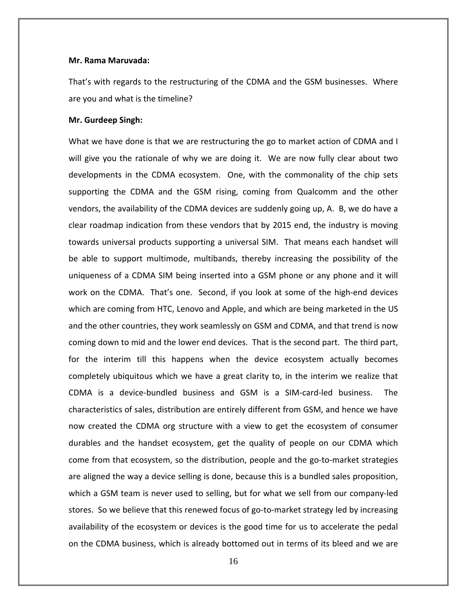#### **Mr. Rama Maruvada:**

That's with regards to the restructuring of the CDMA and the GSM businesses. Where are you and what is the timeline?

#### **Mr. Gurdeep Singh:**

What we have done is that we are restructuring the go to market action of CDMA and I will give you the rationale of why we are doing it. We are now fully clear about two developments in the CDMA ecosystem. One, with the commonality of the chip sets supporting the CDMA and the GSM rising, coming from Qualcomm and the other vendors, the availability of the CDMA devices are suddenly going up, A. B, we do have a clear roadmap indication from these vendors that by 2015 end, the industry is moving towards universal products supporting a universal SIM. That means each handset will be able to support multimode, multibands, thereby increasing the possibility of the uniqueness of a CDMA SIM being inserted into a GSM phone or any phone and it will work on the CDMA. That's one. Second, if you look at some of the high-end devices which are coming from HTC, Lenovo and Apple, and which are being marketed in the US and the other countries, they work seamlessly on GSM and CDMA, and that trend is now coming down to mid and the lower end devices. That is the second part. The third part, for the interim till this happens when the device ecosystem actually becomes completely ubiquitous which we have a great clarity to, in the interim we realize that CDMA is a device‐bundled business and GSM is a SIM‐card‐led business. The characteristics of sales, distribution are entirely different from GSM, and hence we have now created the CDMA org structure with a view to get the ecosystem of consumer durables and the handset ecosystem, get the quality of people on our CDMA which come from that ecosystem, so the distribution, people and the go-to-market strategies are aligned the way a device selling is done, because this is a bundled sales proposition, which a GSM team is never used to selling, but for what we sell from our company-led stores. So we believe that this renewed focus of go-to-market strategy led by increasing availability of the ecosystem or devices is the good time for us to accelerate the pedal on the CDMA business, which is already bottomed out in terms of its bleed and we are

16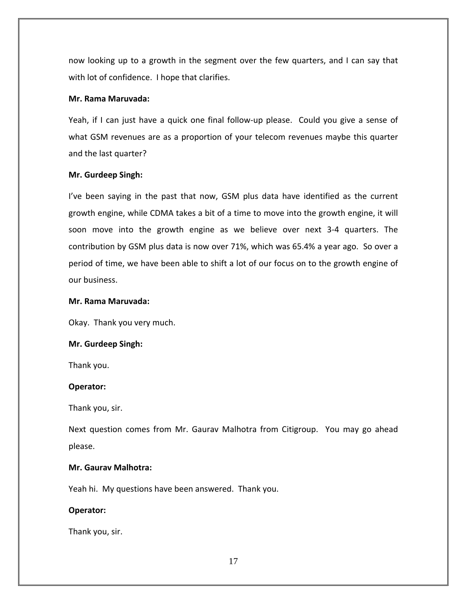now looking up to a growth in the segment over the few quarters, and I can say that with lot of confidence. I hope that clarifies.

# **Mr. Rama Maruvada:**

Yeah, if I can just have a quick one final follow-up please. Could you give a sense of what GSM revenues are as a proportion of your telecom revenues maybe this quarter and the last quarter?

### **Mr. Gurdeep Singh:**

I've been saying in the past that now, GSM plus data have identified as the current growth engine, while CDMA takes a bit of a time to move into the growth engine, it will soon move into the growth engine as we believe over next 3‐4 quarters. The contribution by GSM plus data is now over 71%, which was 65.4% a year ago. So over a period of time, we have been able to shift a lot of our focus on to the growth engine of our business.

### **Mr. Rama Maruvada:**

Okay. Thank you very much.

### **Mr. Gurdeep Singh:**

Thank you.

#### **Operator:**

Thank you, sir.

Next question comes from Mr. Gaurav Malhotra from Citigroup. You may go ahead please.

# **Mr. Gaurav Malhotra:**

Yeah hi. My questions have been answered. Thank you.

# **Operator:**

Thank you, sir.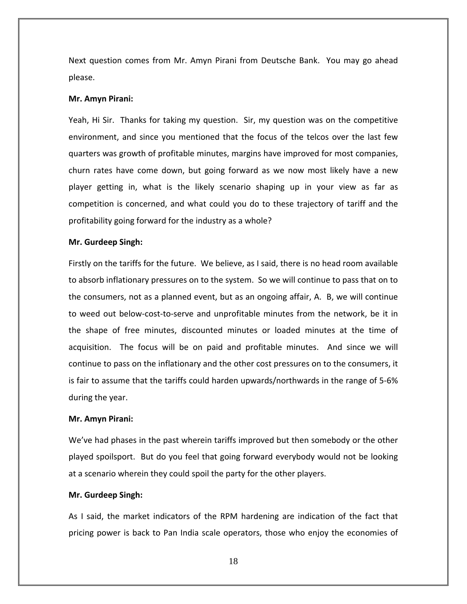Next question comes from Mr. Amyn Pirani from Deutsche Bank. You may go ahead please.

#### **Mr. Amyn Pirani:**

Yeah, Hi Sir. Thanks for taking my question. Sir, my question was on the competitive environment, and since you mentioned that the focus of the telcos over the last few quarters was growth of profitable minutes, margins have improved for most companies, churn rates have come down, but going forward as we now most likely have a new player getting in, what is the likely scenario shaping up in your view as far as competition is concerned, and what could you do to these trajectory of tariff and the profitability going forward for the industry as a whole?

#### **Mr. Gurdeep Singh:**

Firstly on the tariffs for the future. We believe, as I said, there is no head room available to absorb inflationary pressures on to the system. So we will continue to pass that on to the consumers, not as a planned event, but as an ongoing affair, A. B, we will continue to weed out below‐cost‐to‐serve and unprofitable minutes from the network, be it in the shape of free minutes, discounted minutes or loaded minutes at the time of acquisition. The focus will be on paid and profitable minutes. And since we will continue to pass on the inflationary and the other cost pressures on to the consumers, it is fair to assume that the tariffs could harden upwards/northwards in the range of 5‐6% during the year.

#### **Mr. Amyn Pirani:**

We've had phases in the past wherein tariffs improved but then somebody or the other played spoilsport. But do you feel that going forward everybody would not be looking at a scenario wherein they could spoil the party for the other players.

#### **Mr. Gurdeep Singh:**

As I said, the market indicators of the RPM hardening are indication of the fact that pricing power is back to Pan India scale operators, those who enjoy the economies of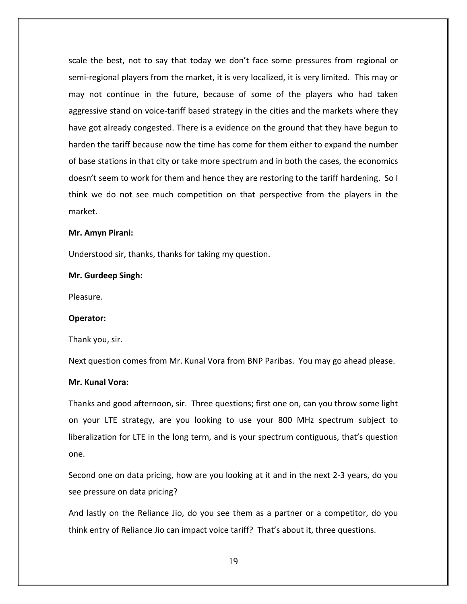scale the best, not to say that today we don't face some pressures from regional or semi-regional players from the market, it is very localized, it is very limited. This may or may not continue in the future, because of some of the players who had taken aggressive stand on voice‐tariff based strategy in the cities and the markets where they have got already congested. There is a evidence on the ground that they have begun to harden the tariff because now the time has come for them either to expand the number of base stations in that city or take more spectrum and in both the cases, the economics doesn't seem to work for them and hence they are restoring to the tariff hardening. So I think we do not see much competition on that perspective from the players in the market.

#### **Mr. Amyn Pirani:**

Understood sir, thanks, thanks for taking my question.

#### **Mr. Gurdeep Singh:**

Pleasure.

#### **Operator:**

Thank you, sir.

Next question comes from Mr. Kunal Vora from BNP Paribas. You may go ahead please.

# **Mr. Kunal Vora:**

Thanks and good afternoon, sir. Three questions; first one on, can you throw some light on your LTE strategy, are you looking to use your 800 MHz spectrum subject to liberalization for LTE in the long term, and is your spectrum contiguous, that's question one.

Second one on data pricing, how are you looking at it and in the next 2‐3 years, do you see pressure on data pricing?

And lastly on the Reliance Jio, do you see them as a partner or a competitor, do you think entry of Reliance Jio can impact voice tariff? That's about it, three questions.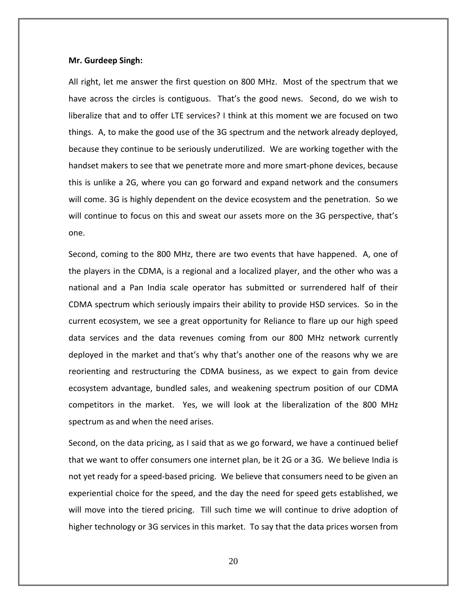#### **Mr. Gurdeep Singh:**

All right, let me answer the first question on 800 MHz. Most of the spectrum that we have across the circles is contiguous. That's the good news. Second, do we wish to liberalize that and to offer LTE services? I think at this moment we are focused on two things. A, to make the good use of the 3G spectrum and the network already deployed, because they continue to be seriously underutilized. We are working together with the handset makers to see that we penetrate more and more smart‐phone devices, because this is unlike a 2G, where you can go forward and expand network and the consumers will come. 3G is highly dependent on the device ecosystem and the penetration. So we will continue to focus on this and sweat our assets more on the 3G perspective, that's one.

Second, coming to the 800 MHz, there are two events that have happened. A, one of the players in the CDMA, is a regional and a localized player, and the other who was a national and a Pan India scale operator has submitted or surrendered half of their CDMA spectrum which seriously impairs their ability to provide HSD services. So in the current ecosystem, we see a great opportunity for Reliance to flare up our high speed data services and the data revenues coming from our 800 MHz network currently deployed in the market and that's why that's another one of the reasons why we are reorienting and restructuring the CDMA business, as we expect to gain from device ecosystem advantage, bundled sales, and weakening spectrum position of our CDMA competitors in the market. Yes, we will look at the liberalization of the 800 MHz spectrum as and when the need arises.

Second, on the data pricing, as I said that as we go forward, we have a continued belief that we want to offer consumers one internet plan, be it 2G or a 3G. We believe India is not yet ready for a speed‐based pricing. We believe that consumers need to be given an experiential choice for the speed, and the day the need for speed gets established, we will move into the tiered pricing. Till such time we will continue to drive adoption of higher technology or 3G services in this market. To say that the data prices worsen from

20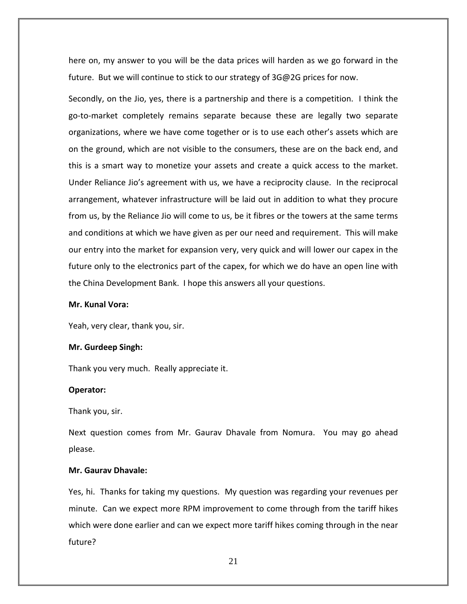here on, my answer to you will be the data prices will harden as we go forward in the future. But we will continue to stick to our strategy of 3G@2G prices for now.

Secondly, on the Jio, yes, there is a partnership and there is a competition. I think the go‐to‐market completely remains separate because these are legally two separate organizations, where we have come together or is to use each other's assets which are on the ground, which are not visible to the consumers, these are on the back end, and this is a smart way to monetize your assets and create a quick access to the market. Under Reliance Jio's agreement with us, we have a reciprocity clause. In the reciprocal arrangement, whatever infrastructure will be laid out in addition to what they procure from us, by the Reliance Jio will come to us, be it fibres or the towers at the same terms and conditions at which we have given as per our need and requirement. This will make our entry into the market for expansion very, very quick and will lower our capex in the future only to the electronics part of the capex, for which we do have an open line with the China Development Bank. I hope this answers all your questions.

#### **Mr. Kunal Vora:**

Yeah, very clear, thank you, sir.

#### **Mr. Gurdeep Singh:**

Thank you very much. Really appreciate it.

#### **Operator:**

Thank you, sir.

Next question comes from Mr. Gaurav Dhavale from Nomura. You may go ahead please.

# **Mr. Gaurav Dhavale:**

Yes, hi. Thanks for taking my questions. My question was regarding your revenues per minute. Can we expect more RPM improvement to come through from the tariff hikes which were done earlier and can we expect more tariff hikes coming through in the near future?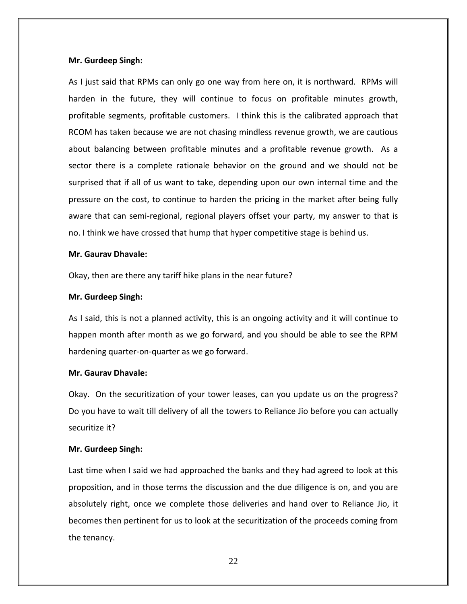#### **Mr. Gurdeep Singh:**

As I just said that RPMs can only go one way from here on, it is northward. RPMs will harden in the future, they will continue to focus on profitable minutes growth, profitable segments, profitable customers. I think this is the calibrated approach that RCOM has taken because we are not chasing mindless revenue growth, we are cautious about balancing between profitable minutes and a profitable revenue growth. As a sector there is a complete rationale behavior on the ground and we should not be surprised that if all of us want to take, depending upon our own internal time and the pressure on the cost, to continue to harden the pricing in the market after being fully aware that can semi-regional, regional players offset your party, my answer to that is no. I think we have crossed that hump that hyper competitive stage is behind us.

### **Mr. Gaurav Dhavale:**

Okay, then are there any tariff hike plans in the near future?

### **Mr. Gurdeep Singh:**

As I said, this is not a planned activity, this is an ongoing activity and it will continue to happen month after month as we go forward, and you should be able to see the RPM hardening quarter‐on‐quarter as we go forward.

#### **Mr. Gaurav Dhavale:**

Okay. On the securitization of your tower leases, can you update us on the progress? Do you have to wait till delivery of all the towers to Reliance Jio before you can actually securitize it?

# **Mr. Gurdeep Singh:**

Last time when I said we had approached the banks and they had agreed to look at this proposition, and in those terms the discussion and the due diligence is on, and you are absolutely right, once we complete those deliveries and hand over to Reliance Jio, it becomes then pertinent for us to look at the securitization of the proceeds coming from the tenancy.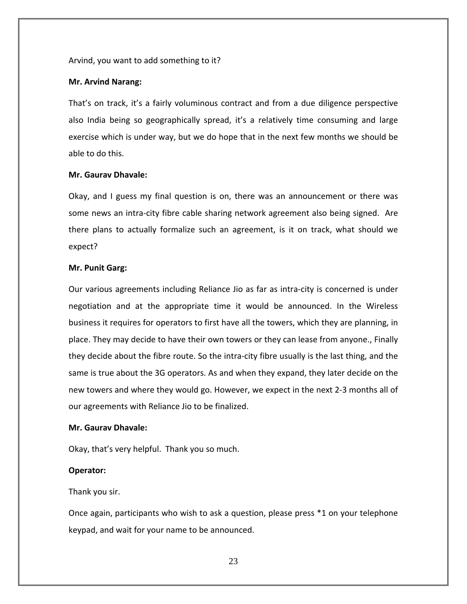### Arvind, you want to add something to it?

#### **Mr. Arvind Narang:**

That's on track, it's a fairly voluminous contract and from a due diligence perspective also India being so geographically spread, it's a relatively time consuming and large exercise which is under way, but we do hope that in the next few months we should be able to do this.

#### **Mr. Gaurav Dhavale:**

Okay, and I guess my final question is on, there was an announcement or there was some news an intra‐city fibre cable sharing network agreement also being signed. Are there plans to actually formalize such an agreement, is it on track, what should we expect?

#### **Mr. Punit Garg:**

Our various agreements including Reliance Jio as far as intra‐city is concerned is under negotiation and at the appropriate time it would be announced. In the Wireless business it requires for operators to first have all the towers, which they are planning, in place. They may decide to have their own towers or they can lease from anyone., Finally they decide about the fibre route. So the intra‐city fibre usually is the last thing, and the same is true about the 3G operators. As and when they expand, they later decide on the new towers and where they would go. However, we expect in the next 2‐3 months all of our agreements with Reliance Jio to be finalized.

# **Mr. Gaurav Dhavale:**

Okay, that's very helpful. Thank you so much.

# **Operator:**

Thank you sir.

Once again, participants who wish to ask a question, please press \*1 on your telephone keypad, and wait for your name to be announced.